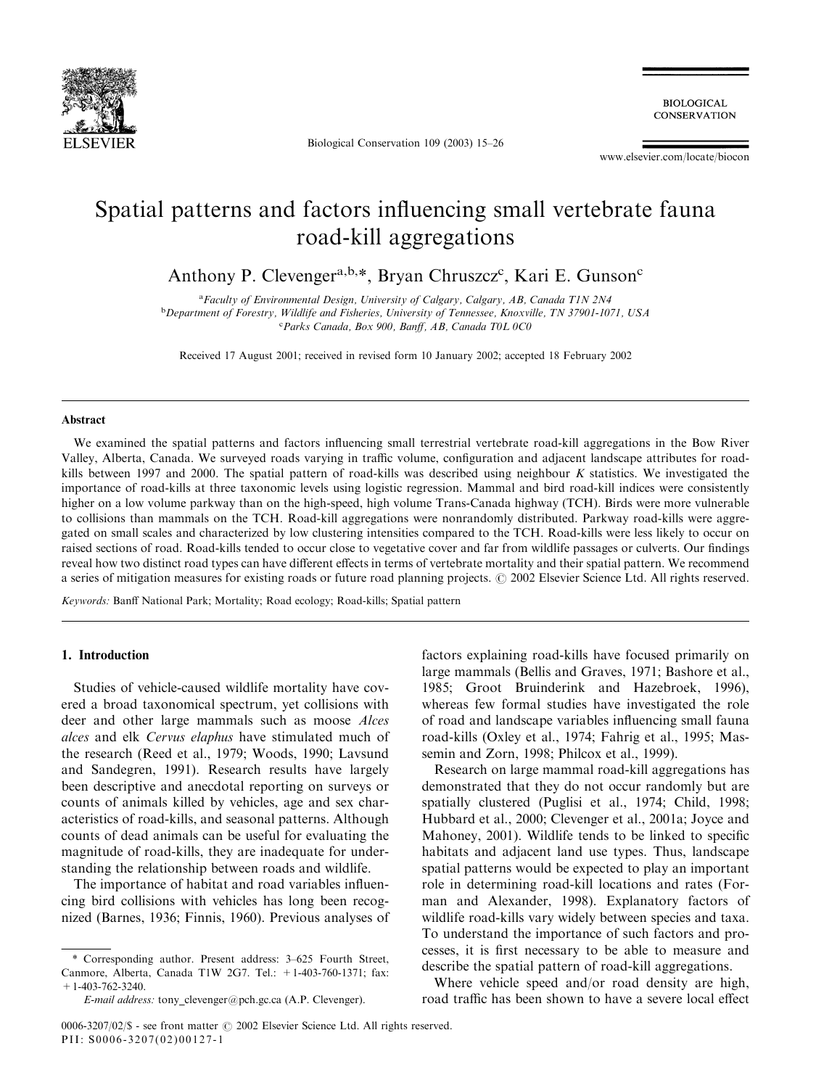

Biological Conservation 109 (2003) 15–26

**BIOLOGICAL CONSERVATION** 

www.elsevier.com/locate/biocon

# Spatial patterns and factors influencing small vertebrate fauna road-kill aggregations

Anthony P. Clevenger<sup>a,b,\*</sup>, Bryan Chruszcz<sup>c</sup>, Kari E. Gunson<sup>c</sup>

<sup>a</sup> Faculty of Environmental Design, University of Calgary, Calgary, AB, Canada T1N 2N4 <sup>b</sup>Department of Forestry, Wildlife and Fisheries, University of Tennessee, Knoxville, TN 37901-1071, USA c Parks Canada, Box 900, Banff, AB, Canada T0L 0C0

Received 17 August 2001; received in revised form 10 January 2002; accepted 18 February 2002

#### Abstract

We examined the spatial patterns and factors influencing small terrestrial vertebrate road-kill aggregations in the Bow River Valley, Alberta, Canada. We surveyed roads varying in traffic volume, configuration and adjacent landscape attributes for roadkills between 1997 and 2000. The spatial pattern of road-kills was described using neighbour K statistics. We investigated the importance of road-kills at three taxonomic levels using logistic regression. Mammal and bird road-kill indices were consistently higher on a low volume parkway than on the high-speed, high volume Trans-Canada highway (TCH). Birds were more vulnerable to collisions than mammals on the TCH. Road-kill aggregations were nonrandomly distributed. Parkway road-kills were aggregated on small scales and characterized by low clustering intensities compared to the TCH. Road-kills were less likely to occur on raised sections of road. Road-kills tended to occur close to vegetative cover and far from wildlife passages or culverts. Our findings reveal how two distinct road types can have different effects in terms of vertebrate mortality and their spatial pattern. We recommend a series of mitigation measures for existing roads or future road planning projects. © 2002 Elsevier Science Ltd. All rights reserved.

Keywords: Banff National Park; Mortality; Road ecology; Road-kills; Spatial pattern

# 1. Introduction

Studies of vehicle-caused wildlife mortality have covered a broad taxonomical spectrum, yet collisions with deer and other large mammals such as moose Alces alces and elk Cervus elaphus have stimulated much of the research (Reed et al., 1979; Woods, 1990; Lavsund and Sandegren, 1991). Research results have largely been descriptive and anecdotal reporting on surveys or counts of animals killed by vehicles, age and sex characteristics of road-kills, and seasonal patterns. Although counts of dead animals can be useful for evaluating the magnitude of road-kills, they are inadequate for understanding the relationship between roads and wildlife.

The importance of habitat and road variables influencing bird collisions with vehicles has long been recognized (Barnes, 1936; Finnis, 1960). Previous analyses of

\* Corresponding author. Present address: 3–625 Fourth Street, Canmore, Alberta, Canada T1W 2G7. Tel.: +1-403-760-1371; fax:  $+1-403-762-3240$ .

factors explaining road-kills have focused primarily on large mammals (Bellis and Graves, 1971; Bashore et al., 1985; Groot Bruinderink and Hazebroek, 1996), whereas few formal studies have investigated the role of road and landscape variables influencing small fauna road-kills (Oxley et al., 1974; Fahrig et al., 1995; Massemin and Zorn, 1998; Philcox et al., 1999).

Research on large mammal road-kill aggregations has demonstrated that they do not occur randomly but are spatially clustered (Puglisi et al., 1974; Child, 1998; Hubbard et al., 2000; Clevenger et al., 2001a; Joyce and Mahoney, 2001). Wildlife tends to be linked to specific habitats and adjacent land use types. Thus, landscape spatial patterns would be expected to play an important role in determining road-kill locations and rates (Forman and Alexander, 1998). Explanatory factors of wildlife road-kills vary widely between species and taxa. To understand the importance of such factors and processes, it is first necessary to be able to measure and describe the spatial pattern of road-kill aggregations.

Where vehicle speed and/or road density are high, road traffic has been shown to have a severe local effect

E-mail address: tony\_clevenger@pch.gc.ca (A.P. Clevenger).

<sup>0006-3207/02/\$ -</sup> see front matter  $\odot$  2002 Elsevier Science Ltd. All rights reserved. PII: S0006-3207(02)00127-1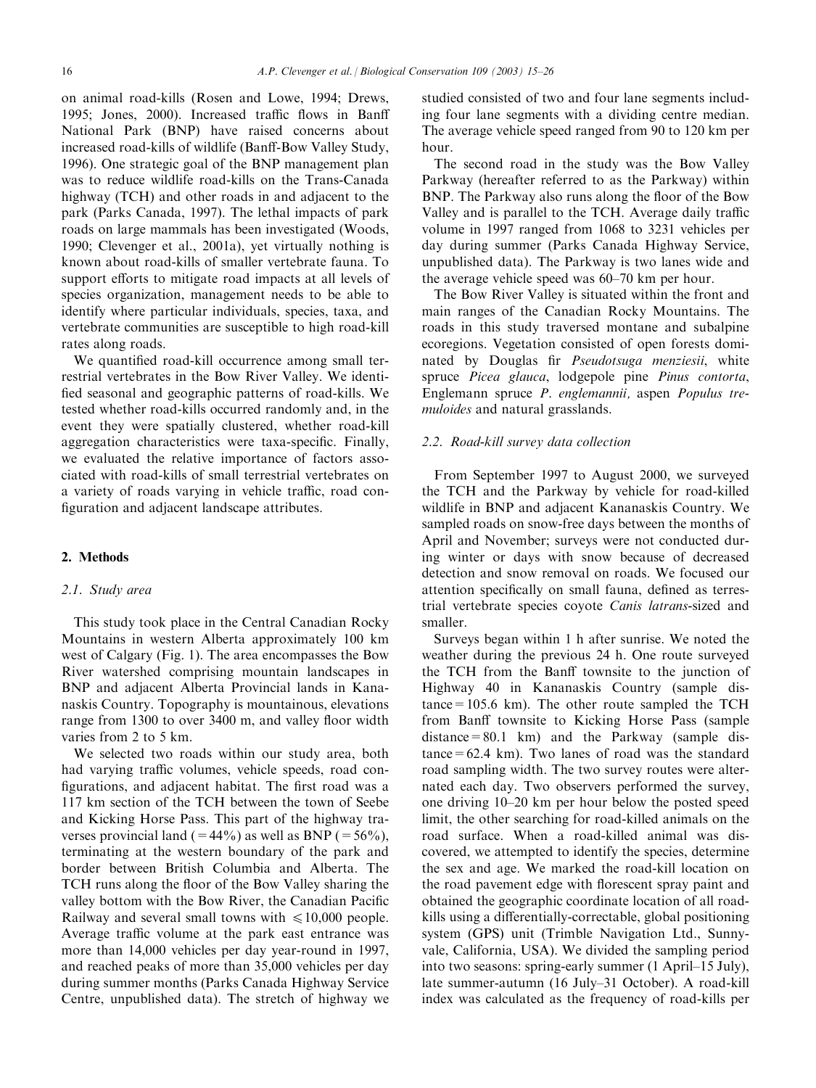on animal road-kills (Rosen and Lowe, 1994; Drews, 1995; Jones, 2000). Increased traffic flows in Banff National Park (BNP) have raised concerns about increased road-kills of wildlife (Banff-Bow Valley Study, 1996). One strategic goal of the BNP management plan was to reduce wildlife road-kills on the Trans-Canada highway (TCH) and other roads in and adjacent to the park (Parks Canada, 1997). The lethal impacts of park roads on large mammals has been investigated (Woods, 1990; Clevenger et al., 2001a), yet virtually nothing is known about road-kills of smaller vertebrate fauna. To support efforts to mitigate road impacts at all levels of species organization, management needs to be able to identify where particular individuals, species, taxa, and vertebrate communities are susceptible to high road-kill rates along roads.

We quantified road-kill occurrence among small terrestrial vertebrates in the Bow River Valley. We identified seasonal and geographic patterns of road-kills. We tested whether road-kills occurred randomly and, in the event they were spatially clustered, whether road-kill aggregation characteristics were taxa-specific. Finally, we evaluated the relative importance of factors associated with road-kills of small terrestrial vertebrates on a variety of roads varying in vehicle traffic, road configuration and adjacent landscape attributes.

## 2. Methods

#### 2.1. Study area

This study took place in the Central Canadian Rocky Mountains in western Alberta approximately 100 km west of Calgary (Fig. 1). The area encompasses the Bow River watershed comprising mountain landscapes in BNP and adjacent Alberta Provincial lands in Kananaskis Country. Topography is mountainous, elevations range from 1300 to over 3400 m, and valley floor width varies from 2 to 5 km.

We selected two roads within our study area, both had varying traffic volumes, vehicle speeds, road configurations, and adjacent habitat. The first road was a 117 km section of the TCH between the town of Seebe and Kicking Horse Pass. This part of the highway traverses provincial land (=44%) as well as BNP (=56%), terminating at the western boundary of the park and border between British Columbia and Alberta. The TCH runs along the floor of the Bow Valley sharing the valley bottom with the Bow River, the Canadian Pacific Railway and several small towns with  $\leq 10,000$  people. Average traffic volume at the park east entrance was more than 14,000 vehicles per day year-round in 1997, and reached peaks of more than 35,000 vehicles per day during summer months (Parks Canada Highway Service Centre, unpublished data). The stretch of highway we studied consisted of two and four lane segments including four lane segments with a dividing centre median. The average vehicle speed ranged from 90 to 120 km per hour.

The second road in the study was the Bow Valley Parkway (hereafter referred to as the Parkway) within BNP. The Parkway also runs along the floor of the Bow Valley and is parallel to the TCH. Average daily traffic volume in 1997 ranged from 1068 to 3231 vehicles per day during summer (Parks Canada Highway Service, unpublished data). The Parkway is two lanes wide and the average vehicle speed was 60–70 km per hour.

The Bow River Valley is situated within the front and main ranges of the Canadian Rocky Mountains. The roads in this study traversed montane and subalpine ecoregions. Vegetation consisted of open forests dominated by Douglas fir Pseudotsuga menziesii, white spruce Picea glauca, lodgepole pine Pinus contorta, Englemann spruce P. englemannii, aspen Populus tremuloides and natural grasslands.

### 2.2. Road-kill survey data collection

From September 1997 to August 2000, we surveyed the TCH and the Parkway by vehicle for road-killed wildlife in BNP and adjacent Kananaskis Country. We sampled roads on snow-free days between the months of April and November; surveys were not conducted during winter or days with snow because of decreased detection and snow removal on roads. We focused our attention specifically on small fauna, defined as terrestrial vertebrate species coyote Canis latrans-sized and smaller.

Surveys began within 1 h after sunrise. We noted the weather during the previous 24 h. One route surveyed the TCH from the Banff townsite to the junction of Highway 40 in Kananaskis Country (sample dis $tance = 105.6$  km). The other route sampled the TCH from Banff townsite to Kicking Horse Pass (sample distance=80.1 km) and the Parkway (sample dis $tance = 62.4$  km). Two lanes of road was the standard road sampling width. The two survey routes were alternated each day. Two observers performed the survey, one driving 10–20 km per hour below the posted speed limit, the other searching for road-killed animals on the road surface. When a road-killed animal was discovered, we attempted to identify the species, determine the sex and age. We marked the road-kill location on the road pavement edge with florescent spray paint and obtained the geographic coordinate location of all roadkills using a differentially-correctable, global positioning system (GPS) unit (Trimble Navigation Ltd., Sunnyvale, California, USA). We divided the sampling period into two seasons: spring-early summer (1 April–15 July), late summer-autumn (16 July–31 October). A road-kill index was calculated as the frequency of road-kills per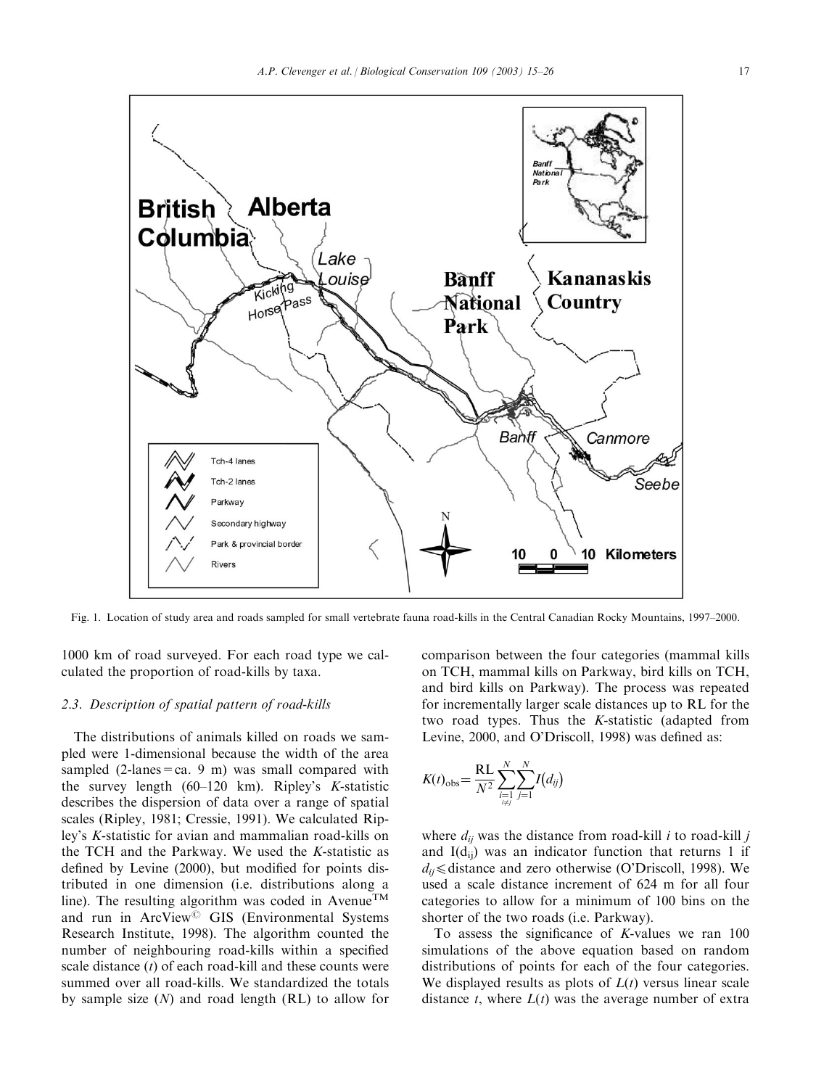



Fig. 1. Location of study area and roads sampled for small vertebrate fauna road-kills in the Central Canadian Rocky Mountains, 1997–2000.

1000 km of road surveyed. For each road type we calculated the proportion of road-kills by taxa.

# 2.3. Description of spatial pattern of road-kills

The distributions of animals killed on roads we sampled were 1-dimensional because the width of the area sampled  $(2$ -lanes = ca. 9 m) was small compared with the survey length (60–120 km). Ripley's K-statistic describes the dispersion of data over a range of spatial scales (Ripley, 1981; Cressie, 1991). We calculated Ripley's K-statistic for avian and mammalian road-kills on the TCH and the Parkway. We used the K-statistic as defined by Levine (2000), but modified for points distributed in one dimension (i.e. distributions along a line). The resulting algorithm was coded in Avenue<sup>TM</sup> and run in ArcView<sup>©</sup> GIS (Environmental Systems Research Institute, 1998). The algorithm counted the number of neighbouring road-kills within a specified scale distance  $(t)$  of each road-kill and these counts were summed over all road-kills. We standardized the totals by sample size  $(N)$  and road length  $(RL)$  to allow for

comparison between the four categories (mammal kills on TCH, mammal kills on Parkway, bird kills on TCH, and bird kills on Parkway). The process was repeated for incrementally larger scale distances up to RL for the two road types. Thus the K-statistic (adapted from Levine, 2000, and O'Driscoll, 1998) was defined as:

$$
K(t)_{\rm obs} = \frac{\rm RL}{N^2} \sum_{\substack{i=1 \ i \neq j}}^{N} \sum_{j=1}^{N} I(d_{ij})
$$

where  $d_{ij}$  was the distance from road-kill *i* to road-kill *j* and  $I(d_{ii})$  was an indicator function that returns 1 if  $d_{ii} \leq$  distance and zero otherwise (O'Driscoll, 1998). We used a scale distance increment of 624 m for all four categories to allow for a minimum of 100 bins on the shorter of the two roads (i.e. Parkway).

To assess the significance of  $K$ -values we ran  $100$ simulations of the above equation based on random distributions of points for each of the four categories. We displayed results as plots of  $L(t)$  versus linear scale distance t, where  $L(t)$  was the average number of extra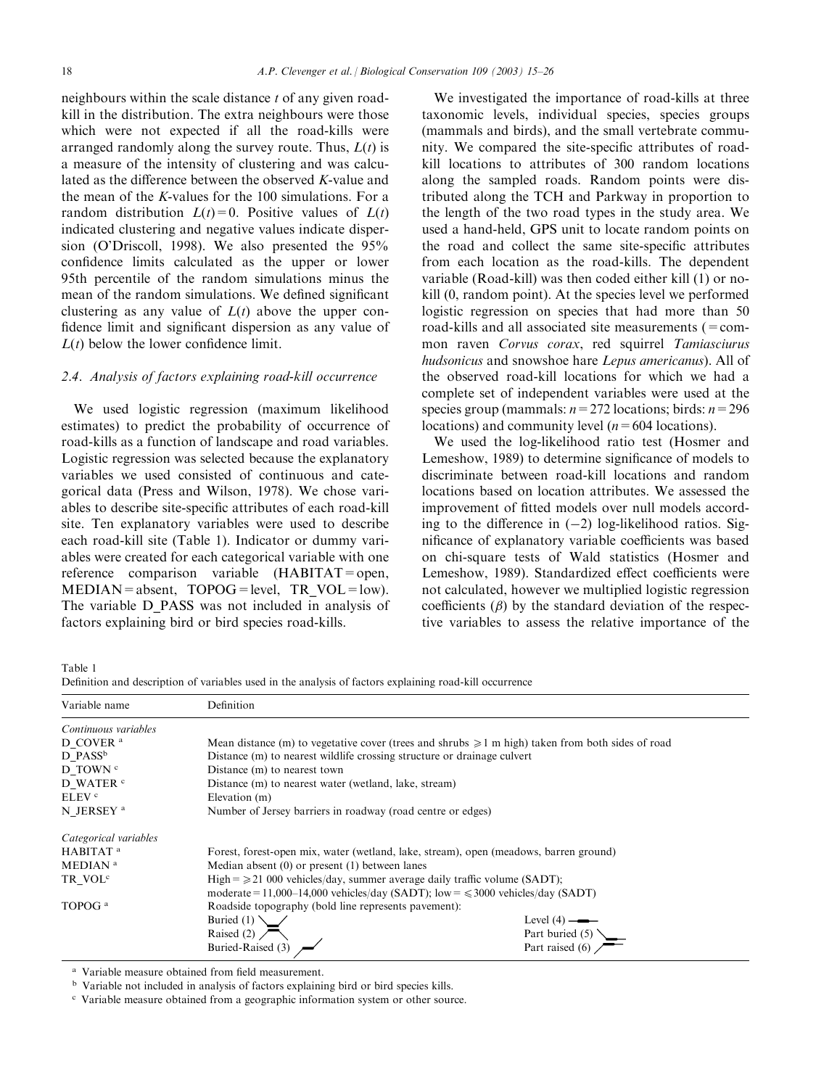neighbours within the scale distance  $t$  of any given roadkill in the distribution. The extra neighbours were those which were not expected if all the road-kills were arranged randomly along the survey route. Thus,  $L(t)$  is a measure of the intensity of clustering and was calculated as the difference between the observed K-value and the mean of the K-values for the 100 simulations. For a random distribution  $L(t) = 0$ . Positive values of  $L(t)$ indicated clustering and negative values indicate dispersion (O'Driscoll, 1998). We also presented the 95% confidence limits calculated as the upper or lower 95th percentile of the random simulations minus the mean of the random simulations. We defined significant clustering as any value of  $L(t)$  above the upper confidence limit and significant dispersion as any value of  $L(t)$  below the lower confidence limit.

## 2.4. Analysis of factors explaining road-kill occurrence

We used logistic regression (maximum likelihood estimates) to predict the probability of occurrence of road-kills as a function of landscape and road variables. Logistic regression was selected because the explanatory variables we used consisted of continuous and categorical data (Press and Wilson, 1978). We chose variables to describe site-specific attributes of each road-kill site. Ten explanatory variables were used to describe each road-kill site (Table 1). Indicator or dummy variables were created for each categorical variable with one reference comparison variable (HABITAT=open,  $MEDIAN = absent$ ,  $TOPOG = level$ ,  $TR$   $VOL = low$ ). The variable D\_PASS was not included in analysis of factors explaining bird or bird species road-kills.

We investigated the importance of road-kills at three taxonomic levels, individual species, species groups (mammals and birds), and the small vertebrate community. We compared the site-specific attributes of roadkill locations to attributes of 300 random locations along the sampled roads. Random points were distributed along the TCH and Parkway in proportion to the length of the two road types in the study area. We used a hand-held, GPS unit to locate random points on the road and collect the same site-specific attributes from each location as the road-kills. The dependent variable (Road-kill) was then coded either kill (1) or nokill (0, random point). At the species level we performed logistic regression on species that had more than 50 road-kills and all associated site measurements  $(=$ common raven Corvus corax, red squirrel Tamiasciurus hudsonicus and snowshoe hare Lepus americanus). All of the observed road-kill locations for which we had a complete set of independent variables were used at the species group (mammals:  $n=272$  locations; birds:  $n=296$ locations) and community level ( $n = 604$  locations).

We used the log-likelihood ratio test (Hosmer and Lemeshow, 1989) to determine significance of models to discriminate between road-kill locations and random locations based on location attributes. We assessed the improvement of fitted models over null models according to the difference in  $(-2)$  log-likelihood ratios. Significance of explanatory variable coefficients was based on chi-square tests of Wald statistics (Hosmer and Lemeshow, 1989). Standardized effect coefficients were not calculated, however we multiplied logistic regression coefficients  $(\beta)$  by the standard deviation of the respective variables to assess the relative importance of the

Table 1

Definition and description of variables used in the analysis of factors explaining road-kill occurrence

| Variable name         | Definition                                                                            |                                                                                                        |  |  |  |  |  |
|-----------------------|---------------------------------------------------------------------------------------|--------------------------------------------------------------------------------------------------------|--|--|--|--|--|
| Continuous variables  |                                                                                       |                                                                                                        |  |  |  |  |  |
| D COVER <sup>a</sup>  |                                                                                       | Mean distance (m) to vegetative cover (trees and shrubs $\geq 1$ m high) taken from both sides of road |  |  |  |  |  |
| D PASS <sup>b</sup>   |                                                                                       | Distance (m) to nearest wildlife crossing structure or drainage culvert                                |  |  |  |  |  |
| D TOWN <sup>c</sup>   | Distance (m) to nearest town                                                          |                                                                                                        |  |  |  |  |  |
| D WATER <sup>c</sup>  | Distance (m) to nearest water (wetland, lake, stream)                                 |                                                                                                        |  |  |  |  |  |
| ELEV <sup>c</sup>     | Elevation (m)                                                                         |                                                                                                        |  |  |  |  |  |
| N JERSEY <sup>a</sup> | Number of Jersey barriers in roadway (road centre or edges)                           |                                                                                                        |  |  |  |  |  |
| Categorical variables |                                                                                       |                                                                                                        |  |  |  |  |  |
| HABITAT <sup>a</sup>  | Forest, forest-open mix, water (wetland, lake, stream), open (meadows, barren ground) |                                                                                                        |  |  |  |  |  |
| MEDIAN <sup>a</sup>   | Median absent $(0)$ or present $(1)$ between lanes                                    |                                                                                                        |  |  |  |  |  |
| TR VOL <sup>c</sup>   | High = $\ge$ 21 000 vehicles/day, summer average daily traffic volume (SADT);         |                                                                                                        |  |  |  |  |  |
|                       | moderate = 11,000–14,000 vehicles/day (SADT); low = $\leq$ 3000 vehicles/day (SADT)   |                                                                                                        |  |  |  |  |  |
| TOPOG <sup>a</sup>    | Roadside topography (bold line represents pavement):                                  |                                                                                                        |  |  |  |  |  |
|                       | Buried $(1)$                                                                          | Level $(4)$ ——                                                                                         |  |  |  |  |  |
|                       | Raised (2) $\sqrt{\phantom{a}}$                                                       | Part buried $(5)$                                                                                      |  |  |  |  |  |
|                       | Buried-Raised (3)                                                                     | Part raised (6) $\sqrt{\phantom{0}}$                                                                   |  |  |  |  |  |

Variable measure obtained from field measurement.

<sup>b</sup> Variable not included in analysis of factors explaining bird or bird species kills.

<sup>c</sup> Variable measure obtained from a geographic information system or other source.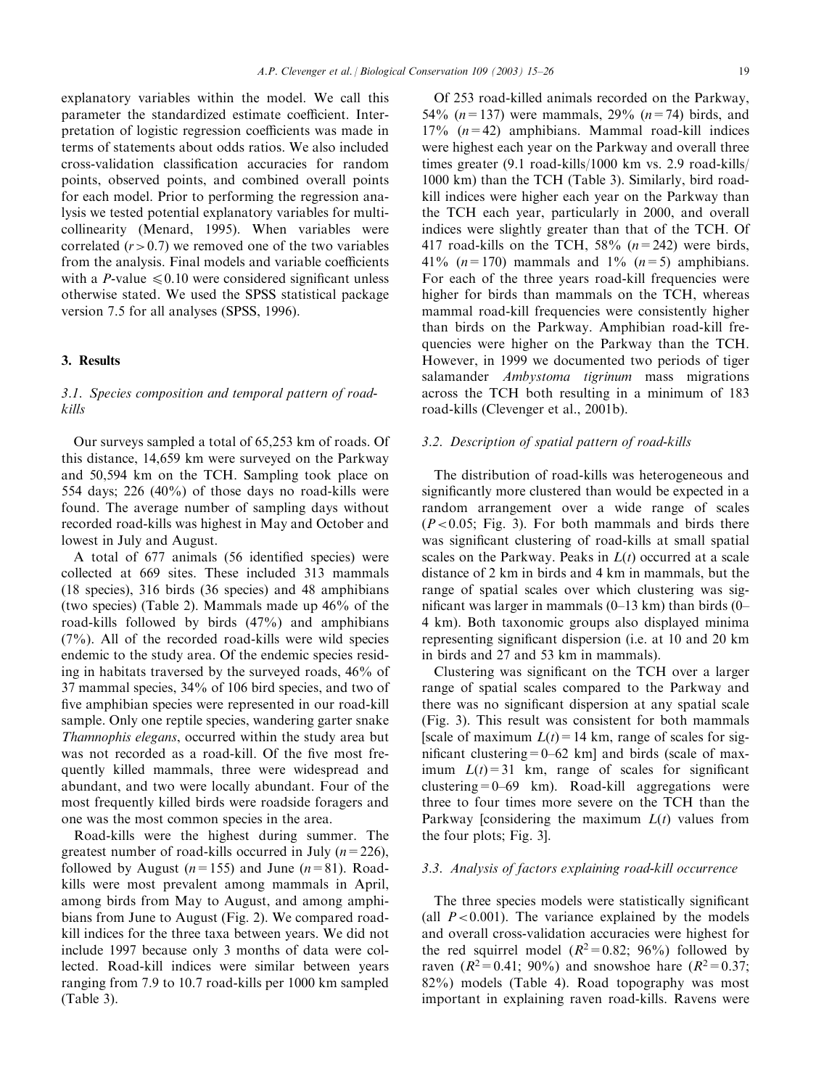explanatory variables within the model. We call this parameter the standardized estimate coefficient. Interpretation of logistic regression coefficients was made in terms of statements about odds ratios. We also included cross-validation classification accuracies for random points, observed points, and combined overall points for each model. Prior to performing the regression analysis we tested potential explanatory variables for multicollinearity (Menard, 1995). When variables were correlated  $(r>0.7)$  we removed one of the two variables from the analysis. Final models and variable coefficients with a P-value  $\leq 0.10$  were considered significant unless otherwise stated. We used the SPSS statistical package version 7.5 for all analyses (SPSS, 1996).

## 3. Results

## 3.1. Species composition and temporal pattern of roadkills

Our surveys sampled a total of 65,253 km of roads. Of this distance, 14,659 km were surveyed on the Parkway and 50,594 km on the TCH. Sampling took place on 554 days; 226 (40%) of those days no road-kills were found. The average number of sampling days without recorded road-kills was highest in May and October and lowest in July and August.

A total of 677 animals (56 identified species) were collected at 669 sites. These included 313 mammals (18 species), 316 birds (36 species) and 48 amphibians (two species) (Table 2). Mammals made up 46% of the road-kills followed by birds (47%) and amphibians (7%). All of the recorded road-kills were wild species endemic to the study area. Of the endemic species residing in habitats traversed by the surveyed roads, 46% of 37 mammal species, 34% of 106 bird species, and two of five amphibian species were represented in our road-kill sample. Only one reptile species, wandering garter snake Thamnophis elegans, occurred within the study area but was not recorded as a road-kill. Of the five most frequently killed mammals, three were widespread and abundant, and two were locally abundant. Four of the most frequently killed birds were roadside foragers and one was the most common species in the area.

Road-kills were the highest during summer. The greatest number of road-kills occurred in July  $(n=226)$ , followed by August ( $n=155$ ) and June ( $n=81$ ). Roadkills were most prevalent among mammals in April, among birds from May to August, and among amphibians from June to August (Fig. 2). We compared roadkill indices for the three taxa between years. We did not include 1997 because only 3 months of data were collected. Road-kill indices were similar between years ranging from 7.9 to 10.7 road-kills per 1000 km sampled (Table 3).

Of 253 road-killed animals recorded on the Parkway, 54% ( $n=137$ ) were mammals, 29% ( $n=74$ ) birds, and  $17\%$  ( $n=42$ ) amphibians. Mammal road-kill indices were highest each year on the Parkway and overall three times greater (9.1 road-kills/1000 km vs. 2.9 road-kills/ 1000 km) than the TCH (Table 3). Similarly, bird roadkill indices were higher each year on the Parkway than the TCH each year, particularly in 2000, and overall indices were slightly greater than that of the TCH. Of 417 road-kills on the TCH,  $58\%$  ( $n=242$ ) were birds, 41% ( $n=170$ ) mammals and 1% ( $n=5$ ) amphibians. For each of the three years road-kill frequencies were higher for birds than mammals on the TCH, whereas mammal road-kill frequencies were consistently higher than birds on the Parkway. Amphibian road-kill frequencies were higher on the Parkway than the TCH. However, in 1999 we documented two periods of tiger salamander *Ambystoma tigrinum* mass migrations across the TCH both resulting in a minimum of 183 road-kills (Clevenger et al., 2001b).

### 3.2. Description of spatial pattern of road-kills

The distribution of road-kills was heterogeneous and significantly more clustered than would be expected in a random arrangement over a wide range of scales  $(P<0.05$ ; Fig. 3). For both mammals and birds there was significant clustering of road-kills at small spatial scales on the Parkway. Peaks in  $L(t)$  occurred at a scale distance of 2 km in birds and 4 km in mammals, but the range of spatial scales over which clustering was significant was larger in mammals  $(0-13 \text{ km})$  than birds  $(0-13 \text{ km})$ 4 km). Both taxonomic groups also displayed minima representing significant dispersion (i.e. at 10 and 20 km in birds and 27 and 53 km in mammals).

Clustering was significant on the TCH over a larger range of spatial scales compared to the Parkway and there was no significant dispersion at any spatial scale (Fig. 3). This result was consistent for both mammals [scale of maximum  $L(t) = 14$  km, range of scales for significant clustering  $= 0-62$  km] and birds (scale of maximum  $L(t) = 31$  km, range of scales for significant clustering=0–69 km). Road-kill aggregations were three to four times more severe on the TCH than the Parkway [considering the maximum  $L(t)$  values from the four plots; Fig. 3].

## 3.3. Analysis of factors explaining road-kill occurrence

The three species models were statistically significant (all  $P < 0.001$ ). The variance explained by the models and overall cross-validation accuracies were highest for the red squirrel model  $(R^2=0.82; 96\%)$  followed by raven ( $R^2 = 0.41$ ; 90%) and snowshoe hare ( $R^2 = 0.37$ ; 82%) models (Table 4). Road topography was most important in explaining raven road-kills. Ravens were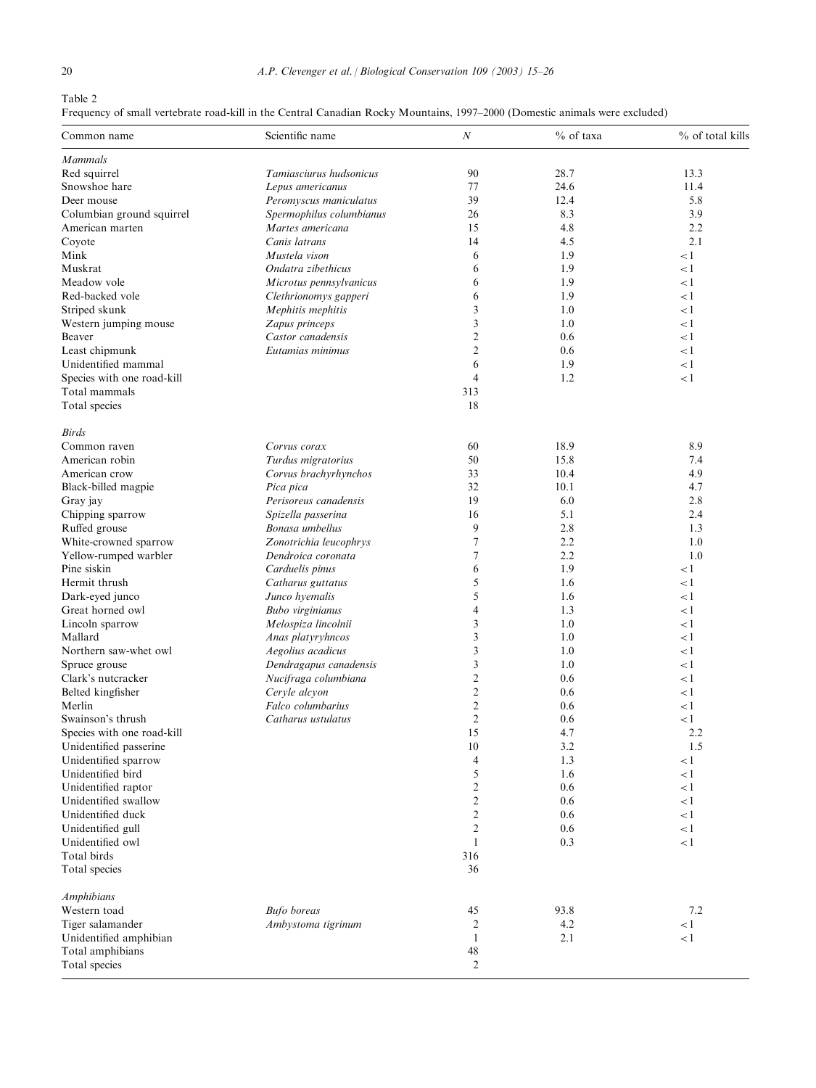Table 2

Frequency of small vertebrate road-kill in the Central Canadian Rocky Mountains, 1997–2000 (Domestic animals were excluded)

| Common name                | Scientific name          | $\boldsymbol{N}$ | % of taxa | % of total kills |  |
|----------------------------|--------------------------|------------------|-----------|------------------|--|
| <b>Mammals</b>             |                          |                  |           |                  |  |
| Red squirrel               | Tamiasciurus hudsonicus  | 90               | 28.7      | 13.3             |  |
| Snowshoe hare              | Lepus americanus         | 77               | 24.6      | 11.4             |  |
| Deer mouse                 | Peromyscus maniculatus   | 39               | 12.4      | 5.8              |  |
| Columbian ground squirrel  | Spermophilus columbianus | 26               | 8.3       | 3.9              |  |
| American marten            | Martes americana         | 15               | 4.8       | 2.2              |  |
| Coyote                     | Canis latrans            | 14               | 4.5       | 2.1              |  |
| Mink                       | Mustela vison            | 6                | 1.9       | $\lt 1$          |  |
| Muskrat                    | Ondatra zibethicus       | 6                | 1.9       | $\lt 1$          |  |
| Meadow vole                | Microtus pennsylvanicus  | 6                | 1.9       | $\lt 1$          |  |
| Red-backed vole            | Clethrionomys gapperi    | 6                | 1.9       | $\lt 1$          |  |
| Striped skunk              | Mephitis mephitis        | 3                | 1.0       | $\lt 1$          |  |
| Western jumping mouse      | Zapus princeps           | 3                | 1.0       | $\lt 1$          |  |
| Beaver                     | Castor canadensis        | $\overline{2}$   | 0.6       | $\lt 1$          |  |
| Least chipmunk             | Eutamias minimus         | $\overline{c}$   | 0.6       | $\lt 1$          |  |
| Unidentified mammal        |                          | 6                | 1.9       | $\leq$ 1         |  |
| Species with one road-kill |                          | $\overline{4}$   | 1.2       | $\lt 1$          |  |
| Total mammals              |                          | 313              |           |                  |  |
| Total species              |                          | 18               |           |                  |  |
| <b>Birds</b>               |                          |                  |           |                  |  |
| Common raven               | Corvus corax             | 60               | 18.9      | 8.9              |  |
| American robin             | Turdus migratorius       | 50               | 15.8      | 7.4              |  |
| American crow              | Corvus brachyrhynchos    | 33               | 10.4      | 4.9              |  |
| Black-billed magpie        | Pica pica                | 32               | 10.1      | 4.7              |  |
| Gray jay                   | Perisoreus canadensis    | 19               | 6.0       | 2.8              |  |
| Chipping sparrow           | Spizella passerina       | 16               | 5.1       | 2.4              |  |
| Ruffed grouse              | Bonasa umbellus          | 9                | 2.8       | 1.3              |  |
| White-crowned sparrow      | Zonotrichia leucophrys   | 7                | 2.2       | 1.0              |  |
| Yellow-rumped warbler      | Dendroica coronata       | 7                | 2.2       | 1.0              |  |
| Pine siskin                | Carduelis pinus          | 6                | 1.9       | $\lt 1$          |  |
| Hermit thrush              | Catharus guttatus        | 5                | 1.6       | $\lt 1$          |  |
| Dark-eyed junco            | Junco hyemalis           | 5                | 1.6       | $\leq$ 1         |  |
| Great horned owl           | Bubo virginianus         | $\overline{4}$   | 1.3       | $\lt 1$          |  |
| Lincoln sparrow            | Melospiza lincolnii      | 3                | 1.0       | $\lt 1$          |  |
| Mallard                    | Anas platyryhncos        | 3                | 1.0       | $\lt 1$          |  |
| Northern saw-whet owl      | Aegolius acadicus        | 3                | 1.0       | $\lt 1$          |  |
| Spruce grouse              | Dendragapus canadensis   | 3                | 1.0       | $\lt 1$          |  |
| Clark's nutcracker         | Nucifraga columbiana     | $\overline{c}$   | 0.6       | $\leq$ 1         |  |
| Belted kingfisher          | Ceryle alcyon            | $\mathfrak{2}$   | 0.6       | $\lt 1$          |  |
| Merlin                     | Falco columbarius        | $\mathfrak{2}$   | 0.6       | $\lt 1$          |  |
| Swainson's thrush          | Catharus ustulatus       | $\sqrt{2}$       | 0.6       | $\leq$ 1         |  |
| Species with one road-kill |                          | 15               | 4.7       | 2.2              |  |
| Unidentified passerine     |                          | 10               | 3.2       | 1.5              |  |
| Unidentified sparrow       |                          | 4                | 1.3       | $\lt 1$          |  |
| Unidentified bird          |                          | 5                | 1.6       | $\lt 1$          |  |
| Unidentified raptor        |                          | $\overline{c}$   | 0.6       | $\lt 1$          |  |
| Unidentified swallow       |                          | $\mathfrak{2}$   | 0.6       | $\lt 1$          |  |
| Unidentified duck          |                          | $\mathfrak{2}$   | 0.6       | $\lt 1$          |  |
| Unidentified gull          |                          | 2                | 0.6       | $\lt 1$          |  |
| Unidentified owl           |                          | $\mathbf{1}$     | 0.3       | $\lt 1$          |  |
| Total birds                |                          | 316              |           |                  |  |
| Total species              |                          | 36               |           |                  |  |
| <b>Amphibians</b>          |                          |                  |           |                  |  |
| Western toad               | <b>Bufo</b> boreas       | 45               | 93.8      | 7.2              |  |
| Tiger salamander           | Ambystoma tigrinum       | 2                | 4.2       | $\leq$ 1         |  |
| Unidentified amphibian     |                          | 1                | 2.1       | < 1              |  |
| Total amphibians           |                          | 48               |           |                  |  |
| Total species              |                          | $\overline{c}$   |           |                  |  |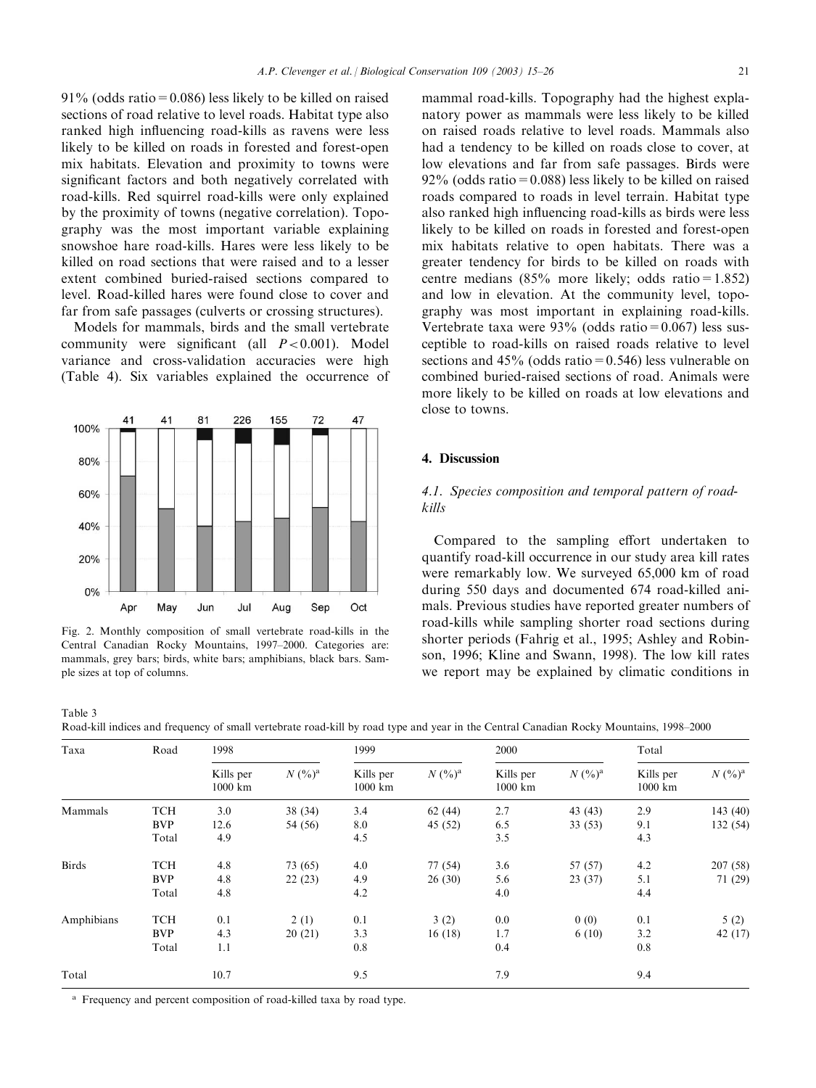$91\%$  (odds ratio = 0.086) less likely to be killed on raised sections of road relative to level roads. Habitat type also ranked high influencing road-kills as ravens were less likely to be killed on roads in forested and forest-open mix habitats. Elevation and proximity to towns were significant factors and both negatively correlated with road-kills. Red squirrel road-kills were only explained by the proximity of towns (negative correlation). Topography was the most important variable explaining snowshoe hare road-kills. Hares were less likely to be killed on road sections that were raised and to a lesser extent combined buried-raised sections compared to level. Road-killed hares were found close to cover and far from safe passages (culverts or crossing structures).

Models for mammals, birds and the small vertebrate community were significant (all  $P < 0.001$ ). Model variance and cross-validation accuracies were high (Table 4). Six variables explained the occurrence of



Fig. 2. Monthly composition of small vertebrate road-kills in the Central Canadian Rocky Mountains, 1997–2000. Categories are: mammals, grey bars; birds, white bars; amphibians, black bars. Sample sizes at top of columns.

mammal road-kills. Topography had the highest explanatory power as mammals were less likely to be killed on raised roads relative to level roads. Mammals also had a tendency to be killed on roads close to cover, at low elevations and far from safe passages. Birds were  $92\%$  (odds ratio = 0.088) less likely to be killed on raised roads compared to roads in level terrain. Habitat type also ranked high influencing road-kills as birds were less likely to be killed on roads in forested and forest-open mix habitats relative to open habitats. There was a greater tendency for birds to be killed on roads with centre medians (85% more likely; odds ratio=1.852) and low in elevation. At the community level, topography was most important in explaining road-kills. Vertebrate taxa were  $93\%$  (odds ratio = 0.067) less susceptible to road-kills on raised roads relative to level sections and  $45\%$  (odds ratio = 0.546) less vulnerable on combined buried-raised sections of road. Animals were more likely to be killed on roads at low elevations and close to towns.

#### 4. Discussion

## 4.1. Species composition and temporal pattern of roadkills

Compared to the sampling effort undertaken to quantify road-kill occurrence in our study area kill rates were remarkably low. We surveyed 65,000 km of road during 550 days and documented 674 road-killed animals. Previous studies have reported greater numbers of road-kills while sampling shorter road sections during shorter periods (Fahrig et al., 1995; Ashley and Robinson, 1996; Kline and Swann, 1998). The low kill rates we report may be explained by climatic conditions in

Table 3 Road-kill indices and frequency of small vertebrate road-kill by road type and year in the Central Canadian Rocky Mountains, 1998–2000

| Taxa         | Road       | 1998                            |           | 1999                           |           | 2000                           |           | Total                  |           |
|--------------|------------|---------------------------------|-----------|--------------------------------|-----------|--------------------------------|-----------|------------------------|-----------|
|              |            | Kills per<br>$1000 \mathrm{km}$ | $N (%)^a$ | Kills per<br>$1000 \text{ km}$ | $N (%)^a$ | Kills per<br>$1000 \text{ km}$ | $N (%)^a$ | Kills per<br>$1000$ km | $N (%)^a$ |
| Mammals      | <b>TCH</b> | 3.0                             | 38(34)    | 3.4                            | 62(44)    | 2.7                            | 43(43)    | 2.9                    | 143(40)   |
|              | <b>BVP</b> | 12.6                            | 54 (56)   | 8.0                            | 45 (52)   | 6.5                            | 33(53)    | 9.1                    | 132 (54)  |
|              | Total      | 4.9                             |           | 4.5                            |           | 3.5                            |           | 4.3                    |           |
| <b>Birds</b> | <b>TCH</b> | 4.8                             | 73 (65)   | 4.0                            | 77 (54)   | 3.6                            | 57 (57)   | 4.2                    | 207(58)   |
|              | <b>BVP</b> | 4.8                             | 22(23)    | 4.9                            | 26(30)    | 5.6                            | 23(37)    | 5.1                    | 71 (29)   |
|              | Total      | 4.8                             |           | 4.2                            |           | 4.0                            |           | 4.4                    |           |
| Amphibians   | <b>TCH</b> | 0.1                             | 2(1)      | 0.1                            | 3(2)      | 0.0                            | 0(0)      | 0.1                    | 5(2)      |
|              | <b>BVP</b> | 4.3                             | 20(21)    | 3.3                            | 16(18)    | 1.7                            | 6(10)     | 3.2                    | 42(17)    |
|              | Total      | 1.1                             |           | 0.8                            |           | 0.4                            |           | 0.8                    |           |
| Total        |            | 10.7                            |           | 9.5                            |           | 7.9                            |           | 9.4                    |           |

<sup>a</sup> Frequency and percent composition of road-killed taxa by road type.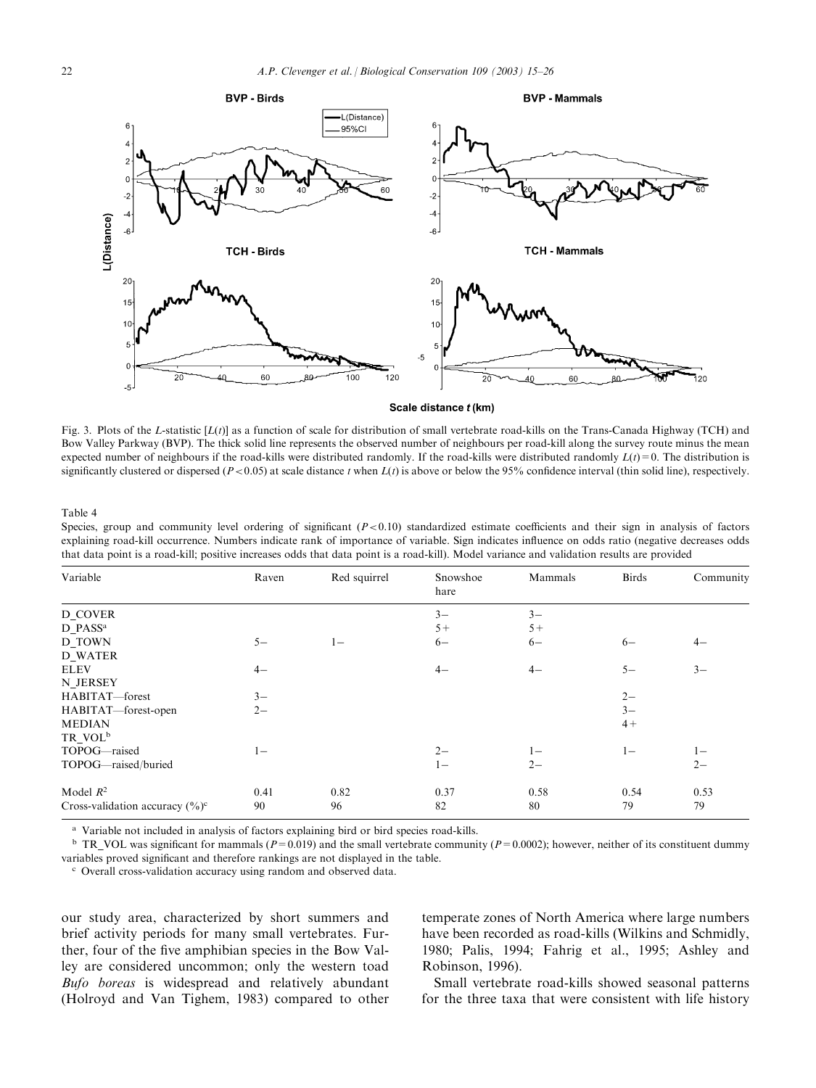

Scale distance t (km)

Fig. 3. Plots of the L-statistic  $[L(t)]$  as a function of scale for distribution of small vertebrate road-kills on the Trans-Canada Highway (TCH) and Bow Valley Parkway (BVP). The thick solid line represents the observed number of neighbours per road-kill along the survey route minus the mean expected number of neighbours if the road-kills were distributed randomly. If the road-kills were distributed randomly  $L(t) = 0$ . The distribution is significantly clustered or dispersed ( $P < 0.05$ ) at scale distance t when  $L(t)$  is above or below the 95% confidence interval (thin solid line), respectively.

Table 4

Species, group and community level ordering of significant  $(P<0.10)$  standardized estimate coefficients and their sign in analysis of factors explaining road-kill occurrence. Numbers indicate rank of importance of variable. Sign indicates influence on odds ratio (negative decreases odds that data point is a road-kill; positive increases odds that data point is a road-kill). Model variance and validation results are provided

| Variable                            | Raven | Red squirrel | Snowshoe<br>hare | Mammals | <b>Birds</b> | Community |
|-------------------------------------|-------|--------------|------------------|---------|--------------|-----------|
| D COVER                             |       |              | $3-$             | $3-$    |              |           |
| D PASS <sup>a</sup>                 |       |              | $5+$             | $5+$    |              |           |
| D TOWN                              | $5 -$ | $1 -$        | $6-$             | $6-$    | $6-$         | $4-$      |
| <b>D WATER</b>                      |       |              |                  |         |              |           |
| <b>ELEV</b>                         | $4-$  |              | $4-$             | $4-$    | $5-$         | $3-$      |
| N JERSEY                            |       |              |                  |         |              |           |
| HABITAT-forest                      | $3-$  |              |                  |         | $2 -$        |           |
| HABITAT-forest-open                 | $2 -$ |              |                  |         | $3-$         |           |
| <b>MEDIAN</b>                       |       |              |                  |         | $4+$         |           |
| TR VOL <sup>b</sup>                 |       |              |                  |         |              |           |
| TOPOG-raised                        | $1 -$ |              | $2 -$            | $1 -$   | $1 -$        | $1 -$     |
| TOPOG-raised/buried                 |       |              | $1 -$            | $2 -$   |              | $2 -$     |
| Model $R^2$                         | 0.41  | 0.82         | 0.37             | 0.58    | 0.54         | 0.53      |
| Cross-validation accuracy $(\% )^c$ | 90    | 96           | 82               | 80      | 79           | 79        |

<sup>a</sup> Variable not included in analysis of factors explaining bird or bird species road-kills.

<sup>b</sup> TR VOL was significant for mammals ( $P=0.019$ ) and the small vertebrate community ( $P=0.0002$ ); however, neither of its constituent dummy variables proved significant and therefore rankings are not displayed in the table.

<sup>c</sup> Overall cross-validation accuracy using random and observed data.

our study area, characterized by short summers and brief activity periods for many small vertebrates. Further, four of the five amphibian species in the Bow Valley are considered uncommon; only the western toad Bufo boreas is widespread and relatively abundant (Holroyd and Van Tighem, 1983) compared to other temperate zones of North America where large numbers have been recorded as road-kills (Wilkins and Schmidly, 1980; Palis, 1994; Fahrig et al., 1995; Ashley and Robinson, 1996).

Small vertebrate road-kills showed seasonal patterns for the three taxa that were consistent with life history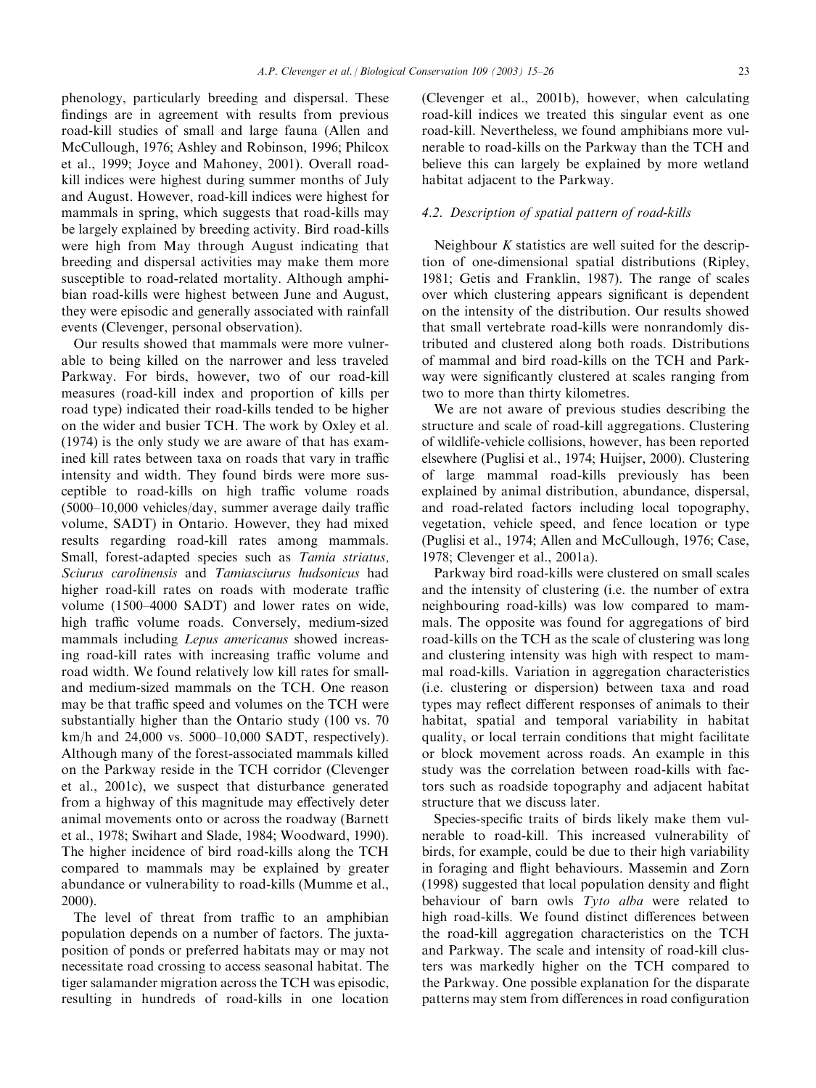phenology, particularly breeding and dispersal. These findings are in agreement with results from previous road-kill studies of small and large fauna (Allen and McCullough, 1976; Ashley and Robinson, 1996; Philcox et al., 1999; Joyce and Mahoney, 2001). Overall roadkill indices were highest during summer months of July and August. However, road-kill indices were highest for mammals in spring, which suggests that road-kills may be largely explained by breeding activity. Bird road-kills were high from May through August indicating that breeding and dispersal activities may make them more susceptible to road-related mortality. Although amphibian road-kills were highest between June and August, they were episodic and generally associated with rainfall events (Clevenger, personal observation).

Our results showed that mammals were more vulnerable to being killed on the narrower and less traveled Parkway. For birds, however, two of our road-kill measures (road-kill index and proportion of kills per road type) indicated their road-kills tended to be higher on the wider and busier TCH. The work by Oxley et al. (1974) is the only study we are aware of that has examined kill rates between taxa on roads that vary in traffic intensity and width. They found birds were more susceptible to road-kills on high traffic volume roads (5000–10,000 vehicles/day, summer average daily traffic volume, SADT) in Ontario. However, they had mixed results regarding road-kill rates among mammals. Small, forest-adapted species such as Tamia striatus, Sciurus carolinensis and Tamiasciurus hudsonicus had higher road-kill rates on roads with moderate traffic volume (1500–4000 SADT) and lower rates on wide, high traffic volume roads. Conversely, medium-sized mammals including Lepus americanus showed increasing road-kill rates with increasing traffic volume and road width. We found relatively low kill rates for smalland medium-sized mammals on the TCH. One reason may be that traffic speed and volumes on the TCH were substantially higher than the Ontario study (100 vs. 70 km/h and 24,000 vs. 5000–10,000 SADT, respectively). Although many of the forest-associated mammals killed on the Parkway reside in the TCH corridor (Clevenger et al., 2001c), we suspect that disturbance generated from a highway of this magnitude may effectively deter animal movements onto or across the roadway (Barnett et al., 1978; Swihart and Slade, 1984; Woodward, 1990). The higher incidence of bird road-kills along the TCH compared to mammals may be explained by greater abundance or vulnerability to road-kills (Mumme et al., 2000).

The level of threat from traffic to an amphibian population depends on a number of factors. The juxtaposition of ponds or preferred habitats may or may not necessitate road crossing to access seasonal habitat. The tiger salamander migration across the TCH was episodic, resulting in hundreds of road-kills in one location

(Clevenger et al., 2001b), however, when calculating road-kill indices we treated this singular event as one road-kill. Nevertheless, we found amphibians more vulnerable to road-kills on the Parkway than the TCH and believe this can largely be explained by more wetland habitat adjacent to the Parkway.

## 4.2. Description of spatial pattern of road-kills

Neighbour  $K$  statistics are well suited for the description of one-dimensional spatial distributions (Ripley, 1981; Getis and Franklin, 1987). The range of scales over which clustering appears significant is dependent on the intensity of the distribution. Our results showed that small vertebrate road-kills were nonrandomly distributed and clustered along both roads. Distributions of mammal and bird road-kills on the TCH and Parkway were significantly clustered at scales ranging from two to more than thirty kilometres.

We are not aware of previous studies describing the structure and scale of road-kill aggregations. Clustering of wildlife-vehicle collisions, however, has been reported elsewhere (Puglisi et al., 1974; Huijser, 2000). Clustering of large mammal road-kills previously has been explained by animal distribution, abundance, dispersal, and road-related factors including local topography, vegetation, vehicle speed, and fence location or type (Puglisi et al., 1974; Allen and McCullough, 1976; Case, 1978; Clevenger et al., 2001a).

Parkway bird road-kills were clustered on small scales and the intensity of clustering (i.e. the number of extra neighbouring road-kills) was low compared to mammals. The opposite was found for aggregations of bird road-kills on the TCH as the scale of clustering was long and clustering intensity was high with respect to mammal road-kills. Variation in aggregation characteristics (i.e. clustering or dispersion) between taxa and road types may reflect different responses of animals to their habitat, spatial and temporal variability in habitat quality, or local terrain conditions that might facilitate or block movement across roads. An example in this study was the correlation between road-kills with factors such as roadside topography and adjacent habitat structure that we discuss later.

Species-specific traits of birds likely make them vulnerable to road-kill. This increased vulnerability of birds, for example, could be due to their high variability in foraging and flight behaviours. Massemin and Zorn (1998) suggested that local population density and flight behaviour of barn owls Tyto alba were related to high road-kills. We found distinct differences between the road-kill aggregation characteristics on the TCH and Parkway. The scale and intensity of road-kill clusters was markedly higher on the TCH compared to the Parkway. One possible explanation for the disparate patterns may stem from differences in road configuration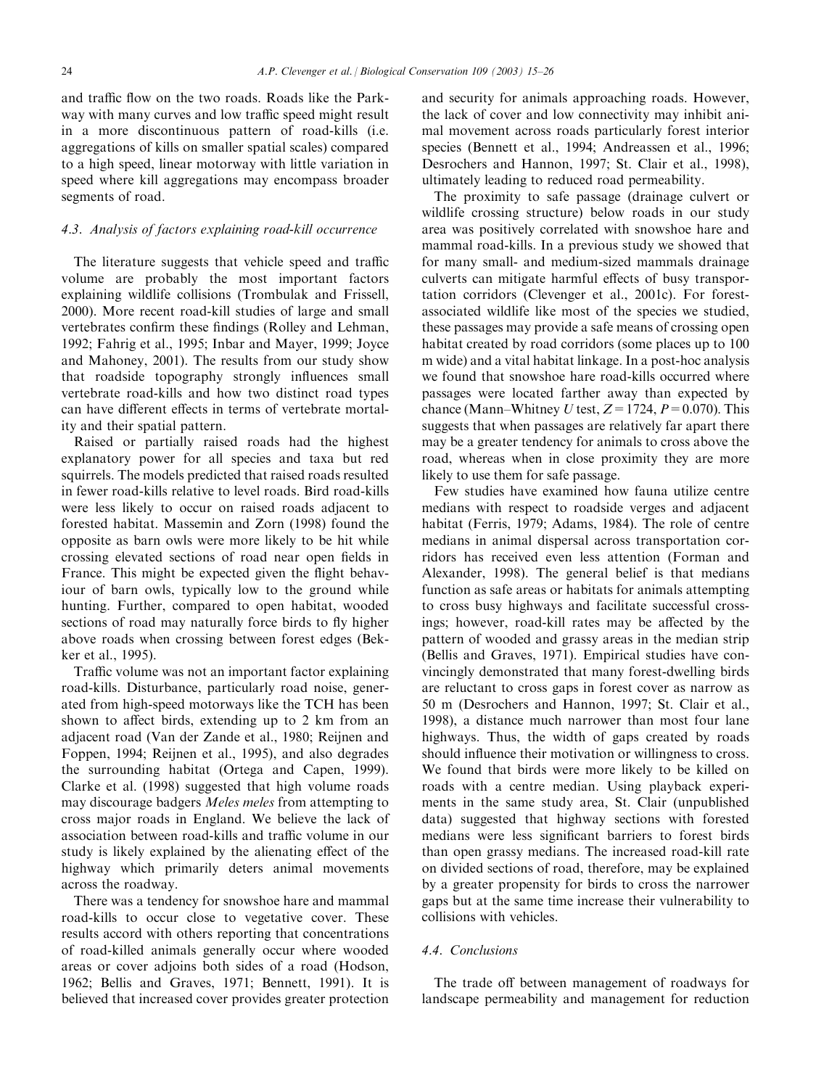and traffic flow on the two roads. Roads like the Parkway with many curves and low traffic speed might result in a more discontinuous pattern of road-kills (i.e. aggregations of kills on smaller spatial scales) compared to a high speed, linear motorway with little variation in speed where kill aggregations may encompass broader segments of road.

# 4.3. Analysis of factors explaining road-kill occurrence

The literature suggests that vehicle speed and traffic volume are probably the most important factors explaining wildlife collisions (Trombulak and Frissell, 2000). More recent road-kill studies of large and small vertebrates confirm these findings (Rolley and Lehman, 1992; Fahrig et al., 1995; Inbar and Mayer, 1999; Joyce and Mahoney, 2001). The results from our study show that roadside topography strongly influences small vertebrate road-kills and how two distinct road types can have different effects in terms of vertebrate mortality and their spatial pattern.

Raised or partially raised roads had the highest explanatory power for all species and taxa but red squirrels. The models predicted that raised roads resulted in fewer road-kills relative to level roads. Bird road-kills were less likely to occur on raised roads adjacent to forested habitat. Massemin and Zorn (1998) found the opposite as barn owls were more likely to be hit while crossing elevated sections of road near open fields in France. This might be expected given the flight behaviour of barn owls, typically low to the ground while hunting. Further, compared to open habitat, wooded sections of road may naturally force birds to fly higher above roads when crossing between forest edges (Bekker et al., 1995).

Traffic volume was not an important factor explaining road-kills. Disturbance, particularly road noise, generated from high-speed motorways like the TCH has been shown to affect birds, extending up to 2 km from an adjacent road (Van der Zande et al., 1980; Reijnen and Foppen, 1994; Reijnen et al., 1995), and also degrades the surrounding habitat (Ortega and Capen, 1999). Clarke et al. (1998) suggested that high volume roads may discourage badgers Meles meles from attempting to cross major roads in England. We believe the lack of association between road-kills and traffic volume in our study is likely explained by the alienating effect of the highway which primarily deters animal movements across the roadway.

There was a tendency for snowshoe hare and mammal road-kills to occur close to vegetative cover. These results accord with others reporting that concentrations of road-killed animals generally occur where wooded areas or cover adjoins both sides of a road (Hodson, 1962; Bellis and Graves, 1971; Bennett, 1991). It is believed that increased cover provides greater protection

and security for animals approaching roads. However, the lack of cover and low connectivity may inhibit animal movement across roads particularly forest interior species (Bennett et al., 1994; Andreassen et al., 1996; Desrochers and Hannon, 1997; St. Clair et al., 1998), ultimately leading to reduced road permeability.

The proximity to safe passage (drainage culvert or wildlife crossing structure) below roads in our study area was positively correlated with snowshoe hare and mammal road-kills. In a previous study we showed that for many small- and medium-sized mammals drainage culverts can mitigate harmful effects of busy transportation corridors (Clevenger et al., 2001c). For forestassociated wildlife like most of the species we studied, these passages may provide a safe means of crossing open habitat created by road corridors (some places up to 100 m wide) and a vital habitat linkage. In a post-hoc analysis we found that snowshoe hare road-kills occurred where passages were located farther away than expected by chance (Mann–Whitney U test,  $Z = 1724$ ,  $P = 0.070$ ). This suggests that when passages are relatively far apart there may be a greater tendency for animals to cross above the road, whereas when in close proximity they are more likely to use them for safe passage.

Few studies have examined how fauna utilize centre medians with respect to roadside verges and adjacent habitat (Ferris, 1979; Adams, 1984). The role of centre medians in animal dispersal across transportation corridors has received even less attention (Forman and Alexander, 1998). The general belief is that medians function as safe areas or habitats for animals attempting to cross busy highways and facilitate successful crossings; however, road-kill rates may be affected by the pattern of wooded and grassy areas in the median strip (Bellis and Graves, 1971). Empirical studies have convincingly demonstrated that many forest-dwelling birds are reluctant to cross gaps in forest cover as narrow as 50 m (Desrochers and Hannon, 1997; St. Clair et al., 1998), a distance much narrower than most four lane highways. Thus, the width of gaps created by roads should influence their motivation or willingness to cross. We found that birds were more likely to be killed on roads with a centre median. Using playback experiments in the same study area, St. Clair (unpublished data) suggested that highway sections with forested medians were less significant barriers to forest birds than open grassy medians. The increased road-kill rate on divided sections of road, therefore, may be explained by a greater propensity for birds to cross the narrower gaps but at the same time increase their vulnerability to collisions with vehicles.

## 4.4. Conclusions

The trade off between management of roadways for landscape permeability and management for reduction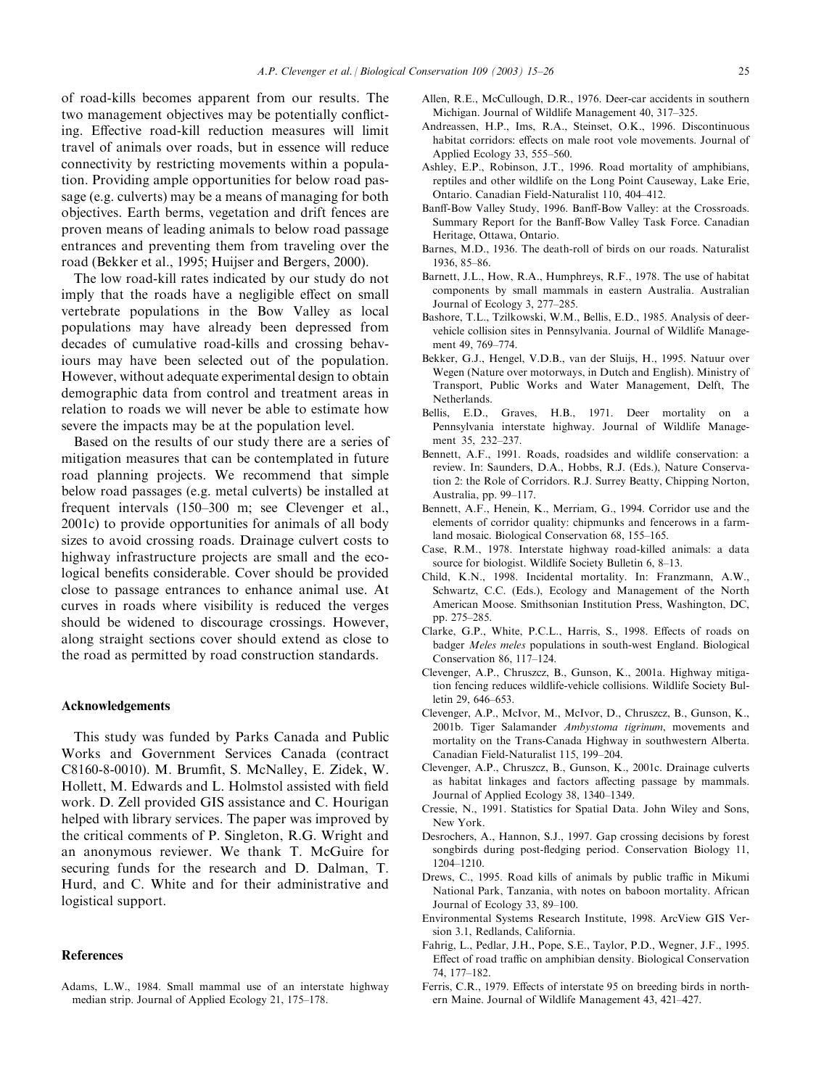of road-kills becomes apparent from our results. The two management objectives may be potentially conflicting. Effective road-kill reduction measures will limit travel of animals over roads, but in essence will reduce connectivity by restricting movements within a population. Providing ample opportunities for below road passage (e.g. culverts) may be a means of managing for both objectives. Earth berms, vegetation and drift fences are proven means of leading animals to below road passage entrances and preventing them from traveling over the road (Bekker et al., 1995; Huijser and Bergers, 2000).

The low road-kill rates indicated by our study do not imply that the roads have a negligible effect on small vertebrate populations in the Bow Valley as local populations may have already been depressed from decades of cumulative road-kills and crossing behaviours may have been selected out of the population. However, without adequate experimental design to obtain demographic data from control and treatment areas in relation to roads we will never be able to estimate how severe the impacts may be at the population level.

Based on the results of our study there are a series of mitigation measures that can be contemplated in future road planning projects. We recommend that simple below road passages (e.g. metal culverts) be installed at frequent intervals (150–300 m; see Clevenger et al., 2001c) to provide opportunities for animals of all body sizes to avoid crossing roads. Drainage culvert costs to highway infrastructure projects are small and the ecological benefits considerable. Cover should be provided close to passage entrances to enhance animal use. At curves in roads where visibility is reduced the verges should be widened to discourage crossings. However, along straight sections cover should extend as close to the road as permitted by road construction standards.

#### Acknowledgements

This study was funded by Parks Canada and Public Works and Government Services Canada (contract C8160-8-0010). M. Brumfit, S. McNalley, E. Zidek, W. Hollett, M. Edwards and L. Holmstol assisted with field work. D. Zell provided GIS assistance and C. Hourigan helped with library services. The paper was improved by the critical comments of P. Singleton, R.G. Wright and an anonymous reviewer. We thank T. McGuire for securing funds for the research and D. Dalman, T. Hurd, and C. White and for their administrative and logistical support.

#### References

Adams, L.W., 1984. Small mammal use of an interstate highway median strip. Journal of Applied Ecology 21, 175–178.

- Allen, R.E., McCullough, D.R., 1976. Deer-car accidents in southern Michigan. Journal of Wildlife Management 40, 317–325.
- Andreassen, H.P., Ims, R.A., Steinset, O.K., 1996. Discontinuous habitat corridors: effects on male root vole movements. Journal of Applied Ecology 33, 555–560.
- Ashley, E.P., Robinson, J.T., 1996. Road mortality of amphibians, reptiles and other wildlife on the Long Point Causeway, Lake Erie, Ontario. Canadian Field-Naturalist 110, 404–412.
- Banff-Bow Valley Study, 1996. Banff-Bow Valley: at the Crossroads. Summary Report for the Banff-Bow Valley Task Force. Canadian Heritage, Ottawa, Ontario.
- Barnes, M.D., 1936. The death-roll of birds on our roads. Naturalist 1936, 85–86.
- Barnett, J.L., How, R.A., Humphreys, R.F., 1978. The use of habitat components by small mammals in eastern Australia. Australian Journal of Ecology 3, 277–285.
- Bashore, T.L., Tzilkowski, W.M., Bellis, E.D., 1985. Analysis of deervehicle collision sites in Pennsylvania. Journal of Wildlife Management 49, 769–774.
- Bekker, G.J., Hengel, V.D.B., van der Sluijs, H., 1995. Natuur over Wegen (Nature over motorways, in Dutch and English). Ministry of Transport, Public Works and Water Management, Delft, The Netherlands.
- Bellis, E.D., Graves, H.B., 1971. Deer mortality on a Pennsylvania interstate highway. Journal of Wildlife Management 35, 232–237.
- Bennett, A.F., 1991. Roads, roadsides and wildlife conservation: a review. In: Saunders, D.A., Hobbs, R.J. (Eds.), Nature Conservation 2: the Role of Corridors. R.J. Surrey Beatty, Chipping Norton, Australia, pp. 99–117.
- Bennett, A.F., Henein, K., Merriam, G., 1994. Corridor use and the elements of corridor quality: chipmunks and fencerows in a farmland mosaic. Biological Conservation 68, 155–165.
- Case, R.M., 1978. Interstate highway road-killed animals: a data source for biologist. Wildlife Society Bulletin 6, 8–13.
- Child, K.N., 1998. Incidental mortality. In: Franzmann, A.W., Schwartz, C.C. (Eds.), Ecology and Management of the North American Moose. Smithsonian Institution Press, Washington, DC, pp. 275–285.
- Clarke, G.P., White, P.C.L., Harris, S., 1998. Effects of roads on badger Meles meles populations in south-west England. Biological Conservation 86, 117–124.
- Clevenger, A.P., Chruszcz, B., Gunson, K., 2001a. Highway mitigation fencing reduces wildlife-vehicle collisions. Wildlife Society Bulletin 29, 646–653.
- Clevenger, A.P., McIvor, M., McIvor, D., Chruszcz, B., Gunson, K., 2001b. Tiger Salamander Ambystoma tigrinum, movements and mortality on the Trans-Canada Highway in southwestern Alberta. Canadian Field-Naturalist 115, 199–204.
- Clevenger, A.P., Chruszcz, B., Gunson, K., 2001c. Drainage culverts as habitat linkages and factors affecting passage by mammals. Journal of Applied Ecology 38, 1340–1349.
- Cressie, N., 1991. Statistics for Spatial Data. John Wiley and Sons, New York.
- Desrochers, A., Hannon, S.J., 1997. Gap crossing decisions by forest songbirds during post-fledging period. Conservation Biology 11, 1204–1210.
- Drews, C., 1995. Road kills of animals by public traffic in Mikumi National Park, Tanzania, with notes on baboon mortality. African Journal of Ecology 33, 89–100.
- Environmental Systems Research Institute, 1998. ArcView GIS Version 3.1, Redlands, California.
- Fahrig, L., Pedlar, J.H., Pope, S.E., Taylor, P.D., Wegner, J.F., 1995. Effect of road traffic on amphibian density. Biological Conservation 74, 177–182.
- Ferris, C.R., 1979. Effects of interstate 95 on breeding birds in northern Maine. Journal of Wildlife Management 43, 421–427.